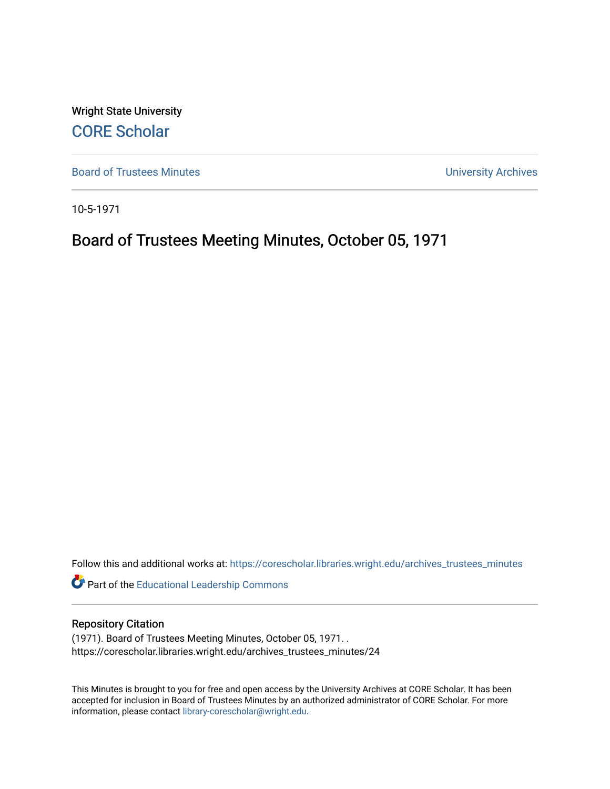Wright State University [CORE Scholar](https://corescholar.libraries.wright.edu/)

[Board of Trustees Minutes](https://corescholar.libraries.wright.edu/archives_trustees_minutes) **Exercise 2018** Solution 2018 10:30 Minutes University Archives

10-5-1971

# Board of Trustees Meeting Minutes, October 05, 1971

Follow this and additional works at: [https://corescholar.libraries.wright.edu/archives\\_trustees\\_minutes](https://corescholar.libraries.wright.edu/archives_trustees_minutes?utm_source=corescholar.libraries.wright.edu%2Farchives_trustees_minutes%2F24&utm_medium=PDF&utm_campaign=PDFCoverPages) 

Part of the [Educational Leadership Commons](https://network.bepress.com/hgg/discipline/1230?utm_source=corescholar.libraries.wright.edu%2Farchives_trustees_minutes%2F24&utm_medium=PDF&utm_campaign=PDFCoverPages) 

# Repository Citation

(1971). Board of Trustees Meeting Minutes, October 05, 1971. . https://corescholar.libraries.wright.edu/archives\_trustees\_minutes/24

This Minutes is brought to you for free and open access by the University Archives at CORE Scholar. It has been accepted for inclusion in Board of Trustees Minutes by an authorized administrator of CORE Scholar. For more information, please contact [library-corescholar@wright.edu.](mailto:library-corescholar@wright.edu)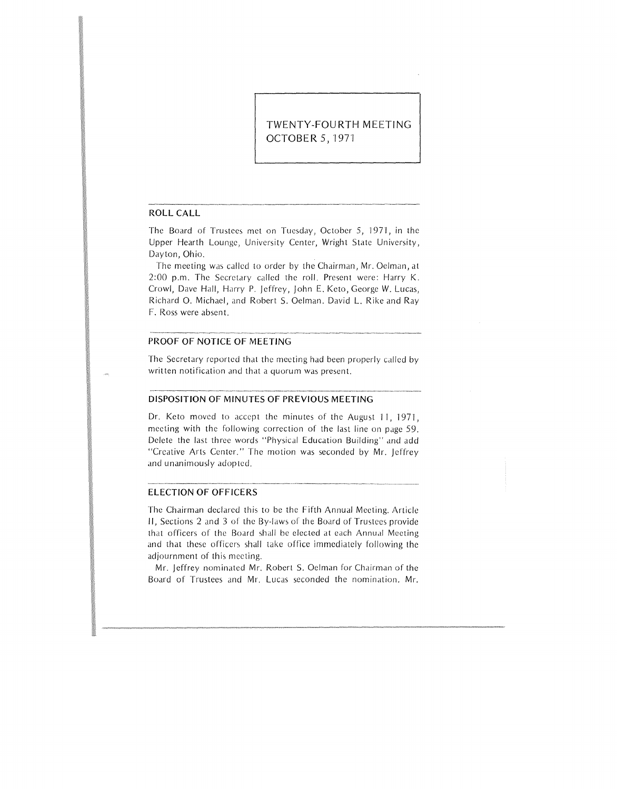# **TWENTY-FOURTH MEETING OCTOBER** 5, 197'1

# **ROLL CALL**

The Board of Trustees met on Tuesday, October 5, 1971, in the Upper Hearth Lounge, University Center, Wright State University, Dayton, Ohio.

The meeting was called to order by the Chairman, Mr. Oelman, at 2:00 p.m. The Secretary called the roll. Present were: Harry K. Crowl, Dave Hall, Harry P. Jeffrey, john E. Keto, George W. Lucas, Richard 0. Michael, and Robert S. Oelman. David L. Rike and Ray F. Ross were absent.

# **PROOF OF NOTICE OF MEETING**

The Secretary reported that the meeting had been properly called by written notification and that a quorum was present.

#### **DISPOSITION OF MINUTES OF PREVIOUS MEETING**

Dr. Keto moved to accept the minutes of the August 11, 1971, meeting with the following correction of the last line on page 59. Delete the last three words "Physical Education Building" and add "Creative Arts Center." The motion was seconded by Mr. Jeffrey and unanimously adopted.

#### **ELECTION OF OFFICERS**

The Chairman declared this to be the Fifth Annual Meeting. Article **11,** Sections 2 and 3 of the By-laws of the Board of Trustees provide that officers of the Board shall be elected at each Annual Meeting and that these officers shall take office immediately following the adjournment of this meeting.

Mr. Jeffrey nominated Mr. Robert 5. Oelman for Chairman of the Board of Trustees and Mr. Lucas seconded the nomination. Mr.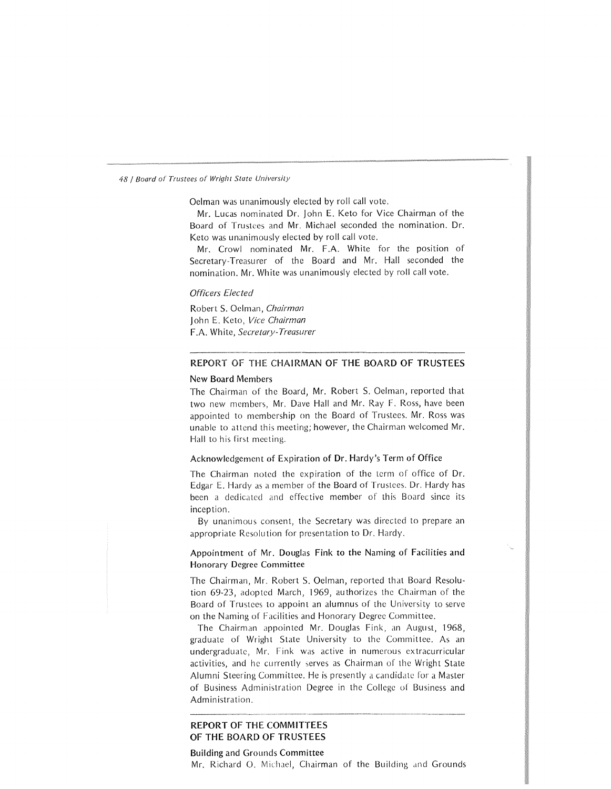Oelman was unanimously elected by roll call vote.

Mr. Lucas nominated Dr. John E. Keto for Vice Chairman of the Board of Trustees and Mr. Michael seconded the nomination. Dr. Keto was unanimously elected by roll call vote.

Mr. Crowl nominated Mr. F.A. White for the position of Secretary-Treasurer of the Board and Mr. Hall seconded the nomination. Mr. White was unanimously elected by roll call vote.

# *Officers Elected*

Robert S. Oelman, *Chairman* 1ohn E. Keto, *Vice Chairman* F.A. White, *Secretary-Treasurer* 

# REPORT OF THE CHAIRMAN OF THE BOARD OF TRUSTEES

#### New Board Members

The Chairman of the Board, Mr. Robert S. Oelman, reported that two new members, Mr. Dave Hall and Mr. Ray F. Ross, have been appointed to membership on the Board of Trustees. Mr. Ross was unable to attend this meeting; however, the Chairman welcomed Mr. Hall to his first meeting.

# Acknowledgement of Expiration of Dr. Hardy's Term of Office

The Chairman noted the expiration of the term of office of Dr. Edgar E. Hardy as a member of the Board of Trustees. Dr. Hardy has been a dedicated and effective member of this Board since its inception.

By unanimous consent, the Secretary was directed to prepare an appropriate Resolution for presentation to Dr. Hardy.

# Appointment of Mr. Douglas Fink to the Naming of Facilities and Honorary Degree Committee

The Chairman, Mr. Robert S. Oelman, reported that Board Resolution 69-23, adopted March, 1969, authorizes the Chairman of the Board of Trustees to appoint an alumnus of the University to serve on the Naming of Facilities and Honorary Degree Committee.

The Chairman appointed Mr. Douglas Fink, an August, 1968, graduate of Wright State University to the Committee. As an undergraduate, Mr. Fink was active in numerous extracurricular activities, and he currently serves as Chairman of the Wright State Alumni Steering Committee. He is presently a candidate for a Master of Business Administration Degree in the College of Business and Administration.

# REPORT OF THE COMMITTEES OF THE BOARD OF TRUSTEES

#### Building and Grounds Committee

Mr. Richard O. Michael, Chairman of the Building and Grounds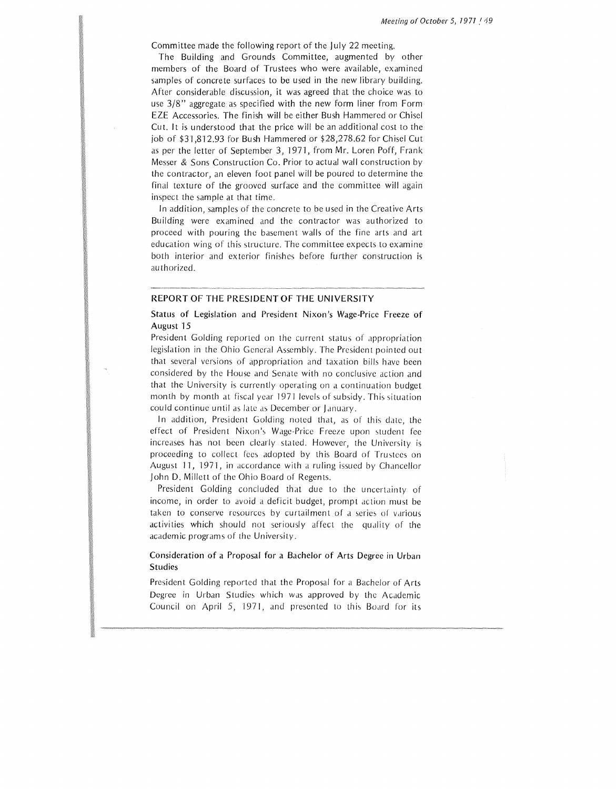Committee made the following report of the July 22 meeting.

The Building and Grounds Committee, augmented by other members of the Board of Trustees who were available, examined samples of concrete surfaces to be used in the new library building. After considerable discussion, it was agreed that the choice was to use 3/8" aggregate as specified with the new form liner from Form EZE Accessories. The finish will be either Bush Hammered or Chisel Cut. It is understood that the price will be an additional cost to the job of \$31,812.93 for Bush Hammered or \$28,278.62 for Chisel Cut as per the letter of September 3, 1971, from Mr. Loren Poff, Frank Messer & Sons Construction Co. Prior to actual wall construction by the contractor, an eleven foot panel will be poured to determine the final texture of the grooved surface and the committee will again inspect the sample at that time.

In addition, samples of the concrete to be used in the Creative Arts Building were examined and the contractor was authorized to proceed with pouring the basement walls of the fine arts and art education wing of this structure. The committee expects to examine both interior and exterior finishes before further construction is authorized.

# REPORT OF THE PRESIDENT OF THE UNIVERSITY

# Status of Legislation and President Nixon's Wage-Price Freeze of August 15

President Golding reported on the current status of appropriation legislation in the Ohio General Assembly. The President pointed out that several versions of appropriation and taxation bills have been considered by the House and Senate with no conclusive action and that the University is currently operating on a continuation budget month by month at fiscal year 1971 levels of subsidy. This situation could continue until as late as December or January.

In addition, President Golding noted that, as of this date, the effect of President Nixon's Wage-Price Freeze upon student fee increases has not been clearly stated. However, the University is proceeding to collect fees adopted by this Board of Trustees on August 11, 1971, in accordance with a ruling issued by Chancellor John D. Millett of the Ohio Board of Regents.

President Golding concluded that due to the uncertainty of income, in order to avoid a deficit budget, prompt action must be taken to conserve resources by curtailment of a series of various activities which should not seriously affect the quality of the academic programs of the University.

# Consideration of a Proposal for a Bachelor of Arts Degree in Urban Studies

President Golding reported that the Proposal for a Bachelor of Arts Degree in Urban Studies which was approved by the Academic Council on April 5, 1971, and presented to this Board for its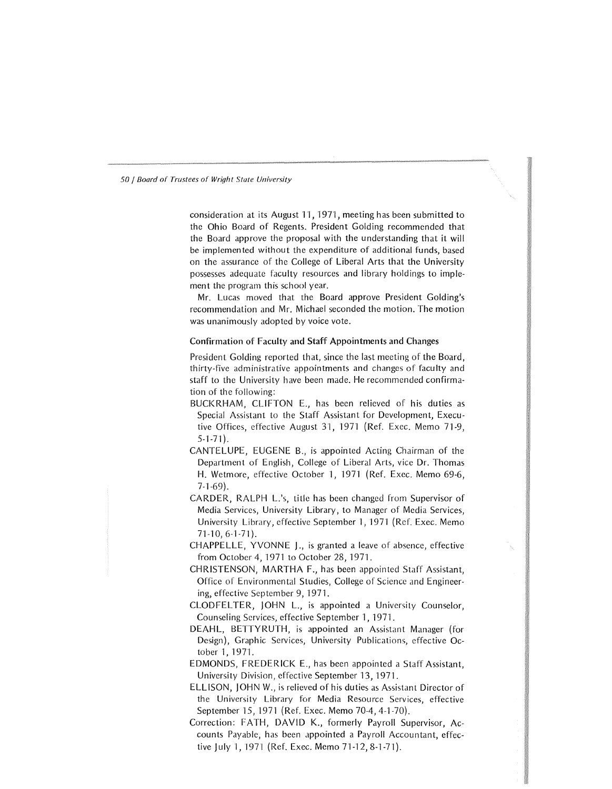consideration at its August 11, 1971, meeting has been submitted to the Ohio Board of Regents. President Golding recommended that the Board approve the proposal with the understanding that it will be implemented without the expenditure of additional funds, based on the assurance of the College of Liberal Arts that the University possesses adequate faculty resources and library holdings to implement the program this school year.

Mr. Lucas moved that the Board approve President Golding's recommendation and Mr. Michael seconded the motion. The motion was unanimously adopted by voice vote.

#### Confirmation of Faculty and Staff Appointments and Changes

President Golding reported that, since the last meeting of the Board, thirty-five administrative appointments and changes of faculty and staff to the University have been made. He recommended confirma tion of the following:

- BUCKRHAM, CLIFTON E., has been relieved of his duties as Special Assistant to the Staff Assistant for Development, Executive Offices, effective August 31, 1971 (Ref. Exec. Memo 71-9, 5-1-71}.
- CANTELUPE, EUGENE B., is appointed Acting Chairman of the Department of English, College of Liberal Arts, vice Dr. Thomas H. Wetmore, effective October 1, 1971 (Ref. Exec. Memo 69-6, 7-1-69).
- CARDER, RALPH L's, title has been changed from Supervisor of Media Services, University Library, to Manager of Media Services, University Library, effective September 1, 1971 (Ref. Exec. Memo 71-10, 6-1-71).
- CHAPPELLE, YVONNE J., is granted a leave of absence, effective from October 4, 1971 to October 28, 1971.
- CHRISTENSON, MARTHA F., has been appointed Staff Assistant, Office of Environmental Studies, College of Science and Engineering, effective September 9, 1971.
- CLODFELTER, JOHN L., is appointed a University Counselor, Counseling Services, effective September 1, 1971.
- DEAHL, BETTYRUTH, is appointed an Assistant Manager (for Design}, Graphic Services, University Publications, effective October 1, 1971.
- EDMONDS, FREDERICK E., has been appointed a Staff Assistant, University Division, effective September 13, 1971.
- ELLISON, JOHN W., is relieved of his duties as Assistant Director of the University Library for Media Resource Services, effective September 15, 1971 (Ref. Exec. Memo 70-4, 4-1-70}.
- Correction: FATH, DAVID K., formerly Payroll Supervisor, Accounts Payable, has been appointed a Payroll Accountant, effective July 1, 1971 (Ref. Exec. Memo 71-12,8-1-71).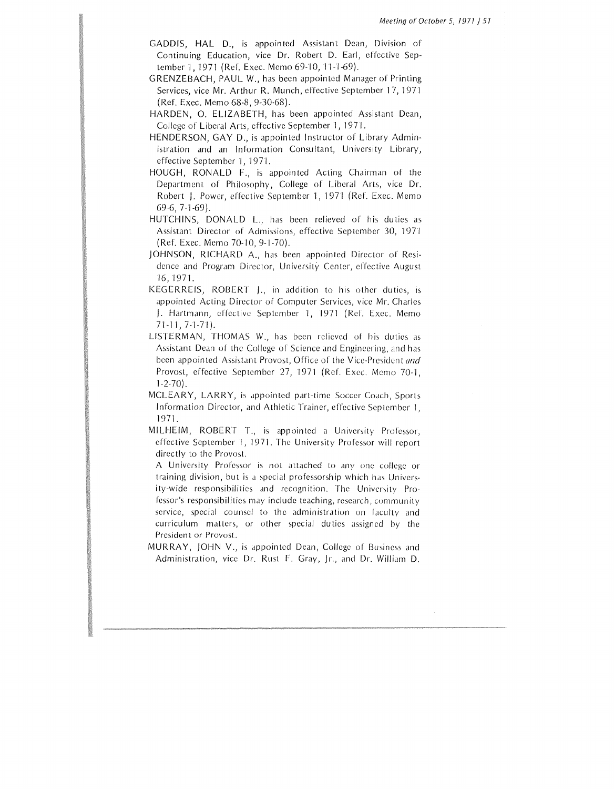- GADDIS, HAL D., is appointed Assistant Dean, Division of Continuing Education, vice Dr. Robert D. Earl, effective September I, 1971 (Ref. Exec. Memo 69-10, 11-1-69).
- GRENZEBACH, PAUL W., has been appointed Manager of Printing Services, vice Mr. Arthur R. Munch, effective September 17, 1971 (Ref. Exec. Memo 68-8, 9-30-68).
- HARDEN, 0. ELIZABETH, has been appointed Assistant Dean, College of Liberal Arts, effective September 1, 1971.
- HENDERSON, GAY D., is appointed Instructor of Library Administration and an Information Consultant, University Library, effective September l, 1971.
- HOUGH, RONALD F., is appointed Acting Chairman of the Department of Philosophy, College of Liberal Arts, vice Dr. Robert J. Power, effective September I, 1971 (Ref. Exec. Memo 69-6, 7-1-69).
- HUTCHINS, DONALD L., has been relieved of his duties as Assistant Director of Admissions, effective September 30, 1971 (Ref. Exec. Memo 70-10, 9-1-70).
- JOHNSON, RICHARD A., has been appointed Director of Residence and Program Director, University Center, effective August 16, 1971.
- KEGERREIS, ROBERT J., in addition to his other duties, is appointed Acting Director of Computer Services, vice Mr. Charles J. Hartmann, effective September I, 1971 (Ref. Exec. Memo 71-l I, 7-1-71).
- LISTERMAN, THOMAS W., has been relieved of his duties as Assistant Dean of the College of Science and Engineering, and has been appointed Assistant Provost, Office of the Vice-President and Provost, effective September 27, 1971 (Ref. Exec. Memo 70-1, 1-2-70).
- MCLEARY, LARRY, is appointed part-time Soccer Coach, Sports Information Director, and Athletic Trainer, effective September I, l 971.
- MILHEIM, ROBERT T., is appointed a University Professor, effective September I, 1971. The University Professor will report directly to the Provost.
	- A University Professor is not attached to any one college or training division, but is a special professorship which has University-wide responsibilities and recognition. The University Professor's responsibilities may include teaching, research, community service, special counsel to the administration on faculty and curriculum matters, or other special duties assigned by the President or Provost.
- MURRAY, JOHN V., is dppointed Dean, College of Business and Administration, vice Dr. Rust F. Gray, Jr., and Dr. William D.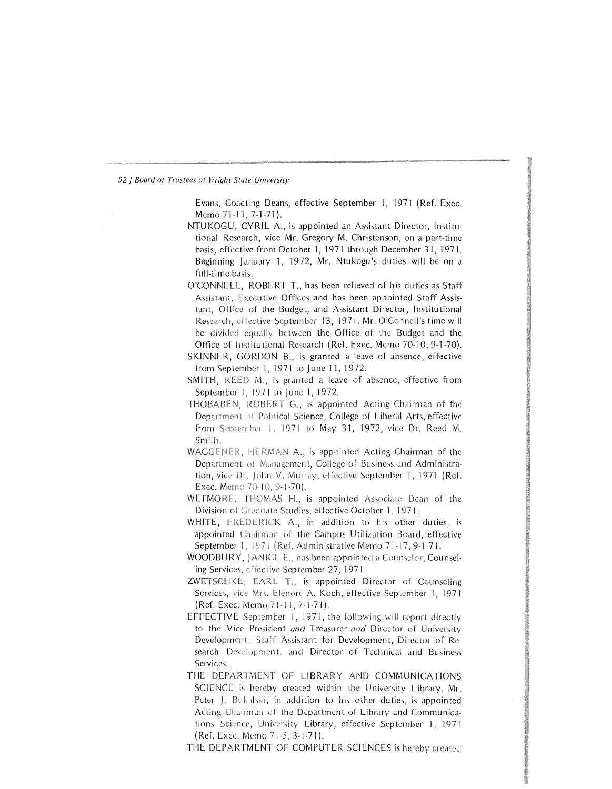Evans, Coacting Deans, effective September 1, 1971 (Ref. Exec. Memo71-11, 7-1-71).

- NTUKOGU, CYRIL A., is appointed an Assistant Director, Institutional Research, vice Mr. Gregory M. Christenson, on a part-time basis, effective from October 1, 1971 through December 31, 1971. Beginning January 1, 1972, Mr. Ntukogu's duties will be on a full-time basis.
- O'CONNELL. ROBERT T., has been relieved of his duties as Staff Assistant, Executive Offices and has been appointed Staff Assistant, Office of the Budget, and Assistant Director, Institutional Research, effective September 13, 1971. Mr. O'Connell's time will be divided equally between the Office of the Budget and the Office of Institutional Research (Ref. Exec. Memo 70-10, 9-1-70).
- SKINNER, GORDON B., is granted a leave of absence, effective from September 1, 1971 to June 11, 1972.
- SMITH, REED M., is granted a leave of absence, effective from September I, 1971 to June I, 1972.
- THOBABEN, ROBERT G., is appointed Acting Chairman of the Department of Political Science, College of Liberal Arts, effective from September 1, 1971 to May 31, 1972, vice Dr. Reed M. Smith.
- WAGGENER, HERMAN A., is appointed Acting Chairman of the Department of Management, College of Business and Administration, vice Dr. John V. Murray, effective September 1, 1971 (Ref. Exec. Memo 70-10, 9-1-70).
- WETMORE, THOMAS H., is appointed Associate Dean of the Division of Graduate Studies, effective October 1, 1971.
- WHITE, FREDERICK A., in addition to his other duties, is appointed Chairman of the Campus Utilization Board, effective September 1, 1971 (Ref. Administrative Memo 71-17, 9-1-71.
- WOODBURY, JANICE E., has been appointed a Counselor, Counseling Services, effective September 27, 1971.
- ZWETSCHKE, EARL T., is appointed Director of Counseling Services, vice Mrs. Elenore A. Koch, effective September 1, 1971 (Ref. Exec. Memo 71-11, 7-1-71).
- EFFECTIVE September I, 1971, the following will report directly to the Vice President *and* Treasurer *and* Director of University Development: Staff Assistant for Development, Director of Research Development, and Director of Technical and Business Services.
- THE DEPARTMENT OF LIBRARY AND COMMUNICATIONS SCIENCE is hereby created within the University Library. Mr. Peter J. Bukalski, in addition to his other duties, is appointed Acting Chairman of the Department of Library and Communications Science, University Library, effective September 1, 1971 (Ref. Exec. Memo 71-5, 3-1-71).

THE DEPARTMENT OF COMPUTER SCIENCES is hereby created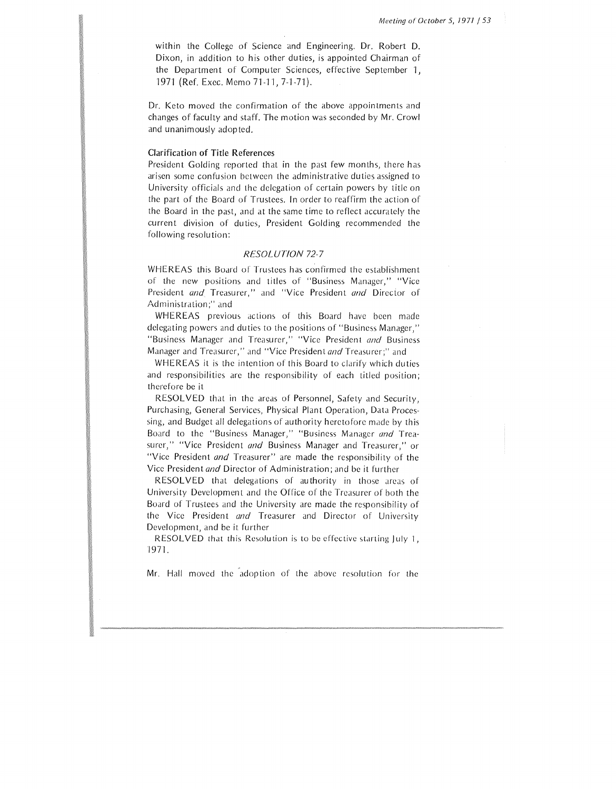within the College of Science and Engineering. Dr. Robert D. Dixon, in addition to his other duties, is appointed Chairman of the Department of Computer Sciences, effective September 1, 1971 (Ref. Exec. Memo 71-11, 7-1-71).

Dr. Keto moved the confirmation of the above appointments and changes of faculty and staff. The motion was seconded by Mr. Crowl and unanimously adopted.

# Clarification of Title References

President Golding reported that in the past few months, there has arisen some confusion between the administrative duties assigned to University officials and the delegation of certain powers by title on the part of the Board of Trustees. In order to reaffirm the action of the Board in the past, and at the same time to reflect accurately the current division of duties, President Golding recommended the following resolution:

#### *RESOLUTION 72-7*

WHEREAS this Board of Trustees has confirmed the establishment of the new positions and titles of "Business Manager," "Vice President *and* Treasurer," and "Vice President *and* Director of Administration;" and

WHEREAS previous actions of this Board have been made delegating powers and duties to the positions of "Business Manager," "Business Manager and Treasurer," "Vice President *and* Business Manager and Treasurer," and "Vice President *and* Treasurer;" and

WHEREAS it is the intention of this Board to clarify which duties and responsibilities arc the responsibility of each titled position; therefore be it

RESOLVED that in the areas of Personnel, Safety and Security, Purchasing, General Services, Physical Plant Operation, Data Processing, and Budget all delegations of authority heretofore made by this Board to the "Business Manager," "Business Manager *and* Treasurer," "Vice President *and* Business Manager and Treasurer," or "Vice President *and* Treasurer" are made the responsibility of the Vice President *and* Director of Administration; and be it further

RESOLVED that delegations of authority in those areas of University Development and the Office of the Treasurer of both the Board of Trustees and the University arc made the responsibility of the Vice President *and* Treasurer and Director of University Development, and be it further

RESOLVED that this Resolution is to be effective starting July 1, 1971.

Mr. Hall moved the adoption of the above resolution for the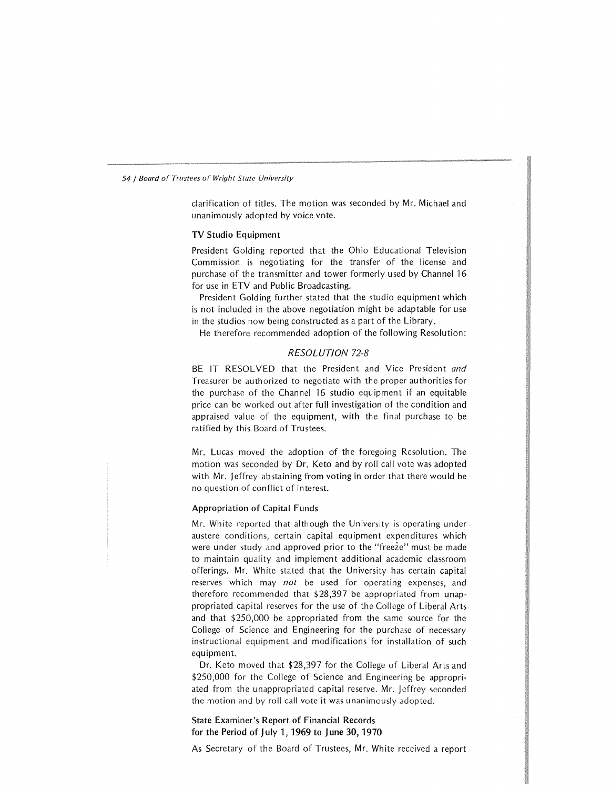clarification of titles. The motion was seconded by Mr. Michael and unanimously adopted by voice vote.

#### TV Studio Equipment

President Golding reported that the Ohio Educational Television Commission is negotiating for the transfer of the license and purchase of the transmitter and tower formerly used by Channel 16 for use in ETV and Public Broadcasting.

President Golding further stated that the studio equipment which is not included in the above negotiation might be adaptable for use in the studios now being constructed as a part of the Library.

He therefore recommended adoption of the following Resolution:

# RESOLUTION 72-8

BE IT RESOLVED that lhe President and Vice President *and*  Treasurer be authorized to negotiate with the proper authorities for the purchase of the Channel 16 studio equipment if an equitable price can be worked out after full investigation of the condition and appraised value of the equipment, with the final purchase to be ratified by this Board of Trustees.

Mr. Lucas moved the adoption of the foregoing Resolution. The motion was seconded by Dr. Keto and by roll call vote was adopted with Mr. Jeffrey abstaining from voting in order that there would be no question of conflict of interest.

# Appropriation of Capital Funds

Mr. White reported that although the University is operating under austere conditions, certain capital equipment expenditures which were under study and approved prior to the "freeze" must be made to maintain quality and implement additional academic classroom offerings. Mr. White stated that the University has certain capital reserves which may *not* be used for operating expenses, and therefore recommended that \$28,397 be appropriated from unappropriated capital reserves for the use of the College of Liberal Arts and that \$250,000 be appropriated from the same source for the College of Science and Engineering for the purchase of necessary instructional equipment and modifications for installation of such equipment.

Dr. Keto moved that \$28,397 for the College of Liberal Arts and \$250,000 for the College of Science and Engineering be appropriated from the unappropriated capital reserve. Mr. Jeffrey seconded the motion and by roll call vote it was unanimously adopted.

# State Examiner's Report of Financial Records for the Period of July 1, 1969 to **June** 30, 1970

As Secretary of the Board of Trustees, Mr. White received a report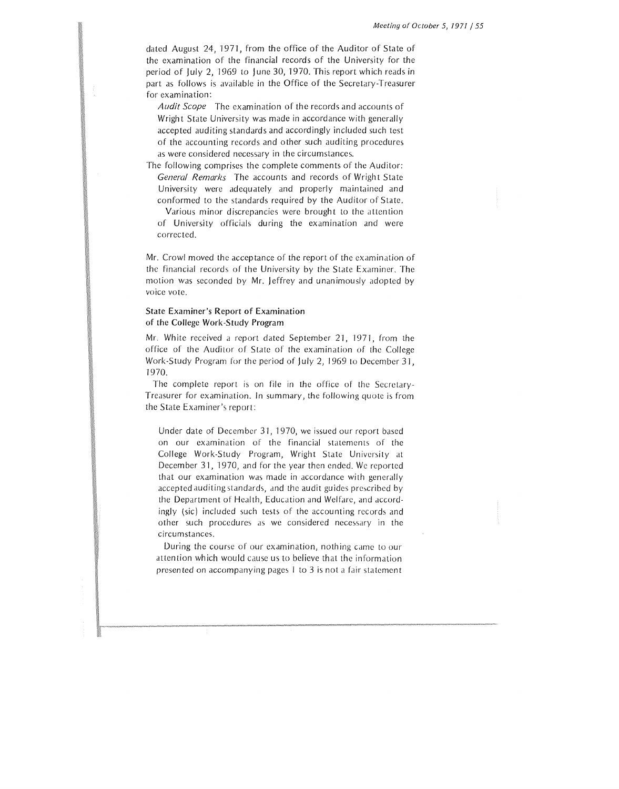dated August 24, 1971, from the office of the Auditor of State of the examination of the financial records of the University for the period of July 2, 1969 to June 30, 1970. This report which reads in part as follows is available in the Office of the Secretary-Treasurer for examination:

*Audit Scope* The examination of the records and accounts of Wright State University was made in accordance with generally accepted auditing standards and accordingly included such test of the accounting records and other such auditing procedures as were considered necessary in the circumstances.

The following comprises the complete comments of the Auditor: *General Remarl?s* The accounts and records of Wright State University were adequately and properly maintained and conformed to the standards required by the Auditor of State.

Various minor discrepancies were brought to the attention of University officials during the examination and were corrected.

Mr. Crowl moved the acceptance of the report of the examination of the financial records of the University by the State Examiner. The motion was seconded by Mr. Jeffrey and unanimously adopted *by*  voice vote.

# State Examiner's Report of Examination of the College Work-Study Program

Mr. White received a report dated September 21, 1971, from the office of the Auditor of State of the examination of the College Work-Study Program for the period of July 2, 1969 to December 31, 1970.

The complete report is on file in the office of the Secretary-Treasurer for examination. In summary, the following quote is from the State Examiner's report:

Under date of December 31, 1970, we issued our report based on our examination of the financial statements of the College Work-Study Program, Wright State University at December 31, 1970, and for the year then ended. We reported that our examination was made in accordance with generally accepted auditing standards, and the audit guides prescribed by the Department of Health, Education and Welfare, and accordingly (sic) included such tests of the accounting records and other such procedures as we considered necessary in the circumstances.

During the course of our examination, nothing came to our attention which would cause us to believe that the information presented on accompanying pages I to 3 is not a fair statement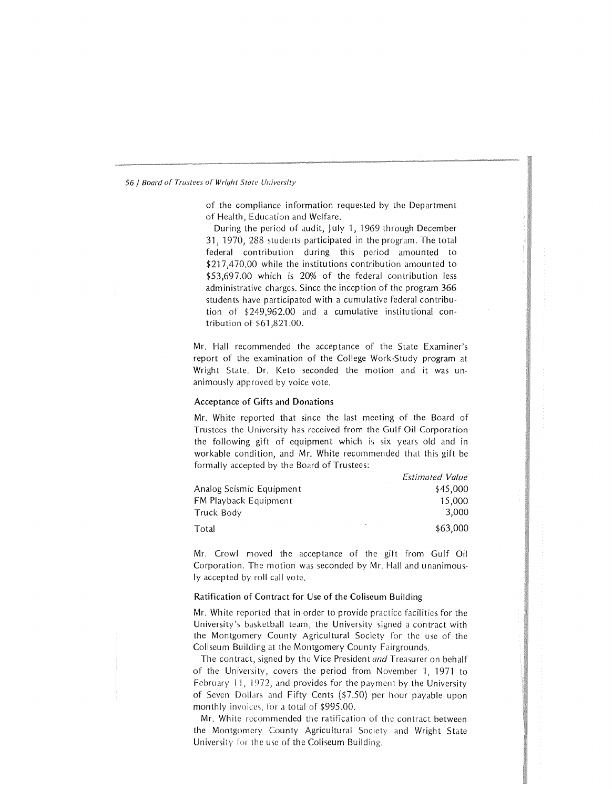of the compliance information requested by the Department of Health, Education and Welfare.

During the period of audit, July 1, 1969 through December 31, 1970, 288 students participated in the program. The total federal contribution during this period amounted to \$217,470.00 while the institutions contribution amounted to \$53,697.00 which is 20% of the federal contribution less administrative charges. Since the inception of the program 366 students have participated with a cumulative federal contribution of \$249,962.00 and a cumulative institutional contribution of \$61 ,821.00.

Mr. Hall recommended the acceptance of the State Examiner's report of the examination of the College Work-Study program at Wright State. Dr. Keto seconded the motion and it was unanimously approved by voice vote.

#### Acceptance of Gifts and Donations

Mr. White reported that since the last meeting of the Board of Trustees the University has received from the Gulf Oil Corporation the following gift of equipment which is six years old and in workable condition, and Mr. White recommended that this gift be formally accepted by the Board of Trustees:

|                              | <b>Estimated Value</b> |
|------------------------------|------------------------|
| Analog Seismic Equipment     | \$45,000               |
| <b>FM Playback Equipment</b> | 15,000                 |
| Truck Body                   | 3.000                  |
| Total                        | \$63,000               |

Mr. Crowl moved the acceptance of the gift from Gulf Oil Corporation. The motion was seconded by Mr. Hall and unanimously accepted by roll call vote.

#### Ratification of Contract for Use of the Coliseum Building

Mr. White reported that in order to provide practice facilities for the University's basketball team, the University signed a contract with the Montgomery County Agricultural Society for the use of the Coliseum Building at the Montgomery County Fairgrounds.

The contract, signed by the Vice President *and* Treasurer on behalf of the University, covers the period from November I, 1971 to February 11, 1972, and provides for the payment by the University of Seven Dollars and Fifty Cents (\$7.50) per hour payable upon monthly invoices, for a total of \$995.00.

Mr. White recommended the ratification of the contract between the Montgomery County Agricultural Society and Wright State University for the use of the Coliseum Building.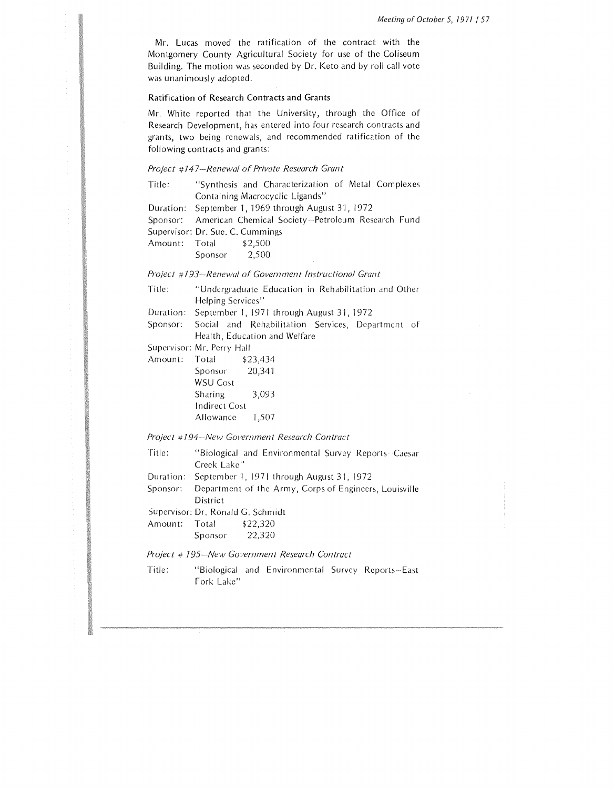Mr. Lucas moved the ratification of the contract with the Montgomery County Agricultural Society for use of the Coliseum Building. The motion was seconded by Dr. Keto and by roll call vote was unanimously adopted.

# Ratification of Research Contracts and Grants

Mr. White reported that the University, through the Office of Research Development, has entered into four research contracts and grants, two being renewals, and recommended ratification of the following contracts and grants:

#### *Project #147-Renewal of Private Research Grant*

| Title: |                                  | "Synthesis and Characterization of Metal Complexes         |  |  |
|--------|----------------------------------|------------------------------------------------------------|--|--|
|        |                                  | Containing Macrocyclic Ligands"                            |  |  |
|        |                                  | Duration: September 1, 1969 through August 31, 1972        |  |  |
|        |                                  | Sponsor: American Chemical Society-Petroleum Research Fund |  |  |
|        | Supervisor: Dr. Sue. C. Cummings |                                                            |  |  |
|        | Amount: Total \$2,500            |                                                            |  |  |
|        | Sponsor 2,500                    |                                                            |  |  |

*Project* # *193--Renewal of Government Instructional Grant* 

| Title: | "Undergraduate Education in Rehabilitation and Other |  |  |  |
|--------|------------------------------------------------------|--|--|--|
|        | Helping Services"                                    |  |  |  |

Duration: September I, 1971 through August 31, 1972

Sponsor: Social and Rehabilitation Services, Department of Health, Education and Welfare

Supervisor: Mr. Perry Hall

| Total                | \$23,434 |
|----------------------|----------|
| Sponsor              | 20,341   |
| <b>WSU Cost</b>      |          |
| <b>Sharing</b>       | 3.093    |
| <b>Indirect Cost</b> |          |
| Allowance            | 1,507    |
|                      |          |

*Project #194-New Government Research Contract* 

| Title: |             |  | "Biological and Environmental Survey Reports Caesar |
|--------|-------------|--|-----------------------------------------------------|
|        | Creek Lake" |  |                                                     |

- Duration: September I, 1971 through August 31, 1972
- Sponsor: Department of the Army, Corps of Engineers, Louisville District
- Supervisor: Dr. Ronald G. Schmidt

| Amount: | Total   | \$22,320 |
|---------|---------|----------|
|         | Sponsor | 22,320   |

*Project# 195--New Government Research Contract* 

Title: "Biological and Environmental Survey Reports-East Fork Lake"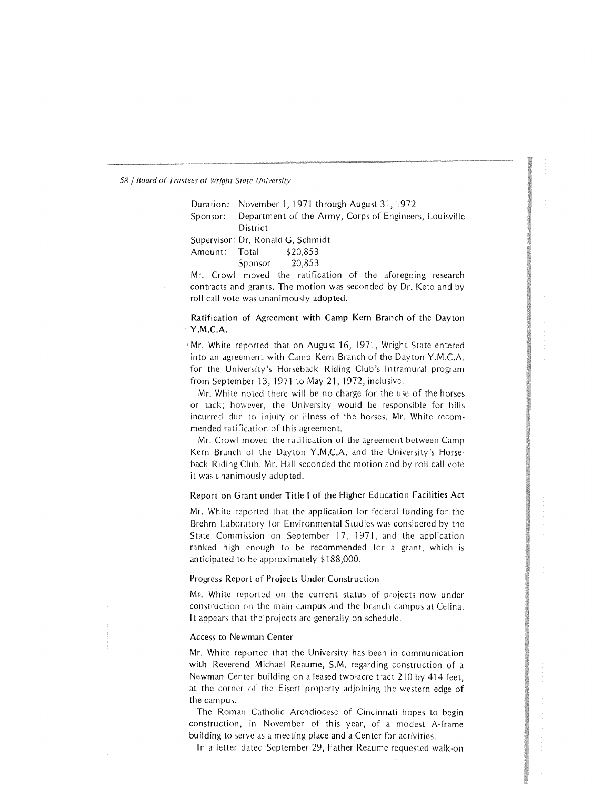Duration: November 1, 1971 through August 31, 1972

Sponsor: Department of the Army, Corps of Engineers, Louisville District

Supervisor: Dr. Ronald G. Schmidt

Amount: Total \$20,853

Sponsor 20,853

Mr. Crowl moved the ratification of the aforegoing research contracts and grants. The motion was seconded by Dr. Keto and by roll call vote was unanimously adopted.

Ratification of Agreement with Camp Kern Branch of the Dayton Y.M.C.A.

'Mr. White reported that on August 16, 1971, Wright State entered into an agreement with Camp Kern Branch of the Dayton Y.M.C.A. for the University's Horseback Riding Club's Intramural program from September 13, 1971 to May 21, 1972, inclusive.

Mr. White noted there will be no charge for the use of the horses or tack; however, the University would be responsible for bills incurred due to injury or illness of the horses. Mr. White recommended ratification of this agreement.

Mr. Crowl moved the ratification of the agreement between Camp Kern Branch of the Dayton Y.M.C.A. and the University's Horseback Riding Club. Mr. Hall seconded the motion and by roll call vote it was unanimously adopted.

# Report on Grant under Title I of the Higher Education Facilities Act

Mr. White reported that the application for federal funding for the Brehm Laboratory for Environmental Studies was considered by the State Commission on September 17, 1971, and the application ranked high enough to be recommended for a grant, which is anticipated to be approximately  $$188,000$ .

#### Progress Report of Projects Under Construction

Mr.. White reported on the current status of projects now under construction on the main campus and the branch campus at Celina. It appears that the projects are generally on schedule.

# Access to Newman Center

Mr. White reported that the University has been in communication with Reverend Michael Reaume, S.M. regarding construction of a Newman Center building on a leased two-acre tract 210 by 414 feet, at the corner of the Eisert property adjoining the western edge of the campus.

The Roman Catholic Archdiocese of Cincinnati hopes to begin construction, in November of this year, of a modest A-frame building to serve as a meeting place and a Center for activities.

In a letter dated September 29, Father Reaume requested walk-on